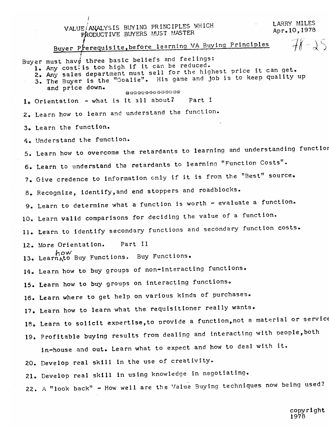LARRY MILES VALUE ANALYSIS BUYING PRINCIPLES WHICH Apr. 10. 1978 PRODUCTIVE BUYERS MUST MASTER  $76 - 35$ Buyer Prerequisite, before learning VA Buying Principles Buyer must have three basic beliefs and feelings: 1. Any cost is too high if it can be reduced. 1. Any costils too high if it can be reduced.<br>2. Any sales department must sell for the highest price it can get. 2. Any sales department must sell for the inglest price is some grand of the Buyer is the "Goalie". His game and job is to keep quality up and price down. \*\*\*\*\*\*\*\*\*\*\*\*\*\* 1. Orientation - what is it all about? Part I 2. Learn how to learn and understand the function. 3. Learn the function. 4. Understand the function. 5. Learn how to overcome the retardants to learning and understanding function 6. Learn to understand the retardants to learning "Function Costs". 7. Give credence to information only if it is from the "Best" source. 8. Recognize, identify, and end stoppers and roadblocks. 9. Learn to determine what a function is worth - evaluate a function. 10. Learn valid comparisons for deciding the value of a function. 11. Learn to identify secondary functions and secondary function costs. Part II 12. More Orientation. how l3. Learn Ato Buy Functions. Buy Functions. 14. Learn how to buy groups of non-interacting functions. 15. Learn how to buy groups on interacting functions. 16. Learn where to get help on various kinds of purchases. 17. Learn how to learn what the requisitioner really wants. 18. Learn to solicit expertise, to provide a function, not a material or service 19. Profitable buying results from dealing and interacting with people, both in-house and out. Learn what to expect and how to deal with it. 20. Develop real skill in the use of creativity. 21. Develop real skill in using knowledge in negotiating.

22. A "look back" - How well are the Value Buying techniques now being used?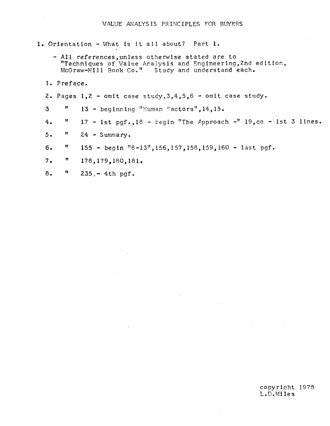1. Orientation - What is it all about? Part 1.

- All references, unless otherwise stated are to "Techniques of Value Analysis and Engineering, 2nd edition, McGraw-Hill Book Co." Study and understand each.
- 1. Preface.
- 2. Pages  $1, 2$  omit case study,  $3, 4, 5, 6$  omit case study.
- $\overline{3}$  $\pmb{\mathfrak{m}}$ 13 - beginning "Human Factors", 14, 15.
- 17 1st pgf., 18 begin "The Approach -" 19, co 1st 3 lines. Ħ  $4.$
- Ħ  $5.$  $24 - Summarv.$
- 155 begin "8-13", i56, 157, 158, 159, 160 last pgf.  $6.$ Ħ
- $7.$  $\pmb{\mathfrak{m}}$ 178, 179, 180, 181.
- $8.$  $\boldsymbol{\mathfrak{m}}$  $235 - 4th$  pgf.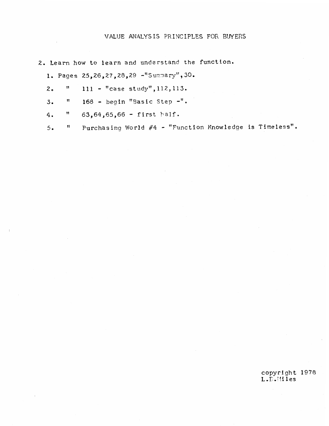## VALUE ANALYSIS PRINCIPLES FOR BUYERS

2. Learn how to learn and understand the function.

1. Pages 25, 26, 27, 28, 29 -"Summary", 30.

- $111 -$  "case study", 112, 113.  $\pmb{\mathfrak{m}}$  $2.$
- 168 begin "Basic Step -".  $3.$  $\pmb{\mathfrak{h}}$
- $63,64,65,66 -$  first half.  $\pmb{\mathcal{W}}$  $4.$
- Purchasing World #4 "Function Knowledge is Timeless".  $5.$  $\mathbf{H}$

copyright 1978<br>L.D.Miles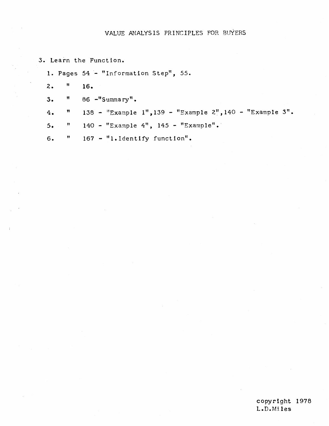## VALUE ANALYSIS PRINCIPLES FOR BUYERS

- 3. Learn the Function.
	- 1. Pages 54 "Information Step", 55.
	- $\bar{\mathbf{B}}$  $2.$ 16.
	- 86 -"Summary".  $3.$  $\pmb{\mathfrak{m}}$
	- $\pmb{\mathfrak{m}}$ 138 - "Example 1", 139 - "Example 2", 140 - "Example 3".  $4.$
	- 140 "Example 4", 145 "Example".  $\mathbf{H}_\parallel$  $5.$
	- $167 1.1$ dentify function".  $6.$  $\pmb{\mathcal{W}}$

# copyright 1978 L.D.Miles